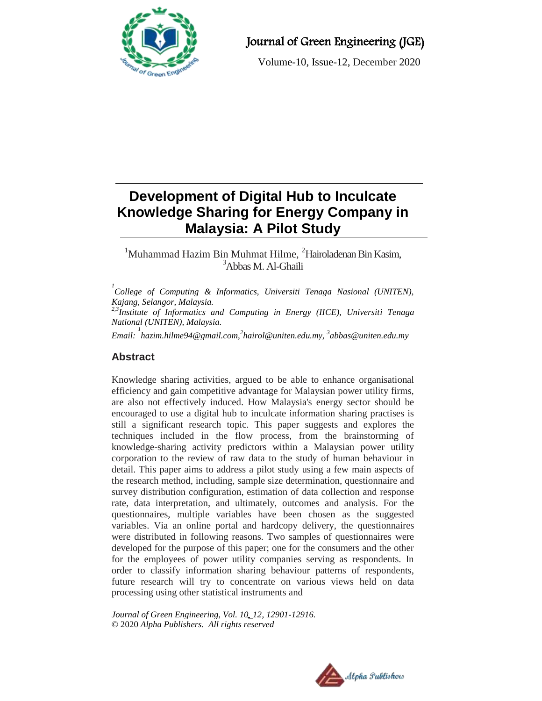

# Journal of Green Engineering (JGE)

Volume-10, Issue-12, December 2020

# **Development of Digital Hub to Inculcate Knowledge Sharing for Energy Company in Malaysia: A Pilot Study**

# $1$ Muhammad Hazim Bin Muhmat Hilme,  $2$ Hairoladenan Bin Kasim, <sup>3</sup>Abbas M. Al-Ghaili

<sup>1</sup><br> *College of Computing & Informatics, Universiti Tenaga Nasional (UNITEN), Kajang, Selangor, Malaysia.*

*2,3Institute of Informatics and Computing in Energy (IICE), Universiti Tenaga National (UNITEN), Malaysia.*

*Email: 1 hazim.hilme94@gmail.com,<sup>2</sup> hairol@uniten.edu.my, <sup>3</sup> [abbas@uniten.edu.my](mailto:3abbas@uniten.edu.my)*

# **Abstract**

Knowledge sharing activities, argued to be able to enhance organisational efficiency and gain competitive advantage for Malaysian power utility firms, are also not effectively induced. How Malaysia's energy sector should be encouraged to use a digital hub to inculcate information sharing practises is still a significant research topic. This paper suggests and explores the techniques included in the flow process, from the brainstorming of knowledge-sharing activity predictors within a Malaysian power utility corporation to the review of raw data to the study of human behaviour in detail. This paper aims to address a pilot study using a few main aspects of the research method, including, sample size determination, questionnaire and survey distribution configuration, estimation of data collection and response rate, data interpretation, and ultimately, outcomes and analysis. For the questionnaires, multiple variables have been chosen as the suggested variables. Via an online portal and hardcopy delivery, the questionnaires were distributed in following reasons. Two samples of questionnaires were developed for the purpose of this paper; one for the consumers and the other for the employees of power utility companies serving as respondents. In order to classify information sharing behaviour patterns of respondents, future research will try to concentrate on various views held on data processing using other statistical instruments and

*Journal of Green Engineering, Vol. 10\_12, 12901-12916.* © 2020 *Alpha Publishers. All rights reserved*

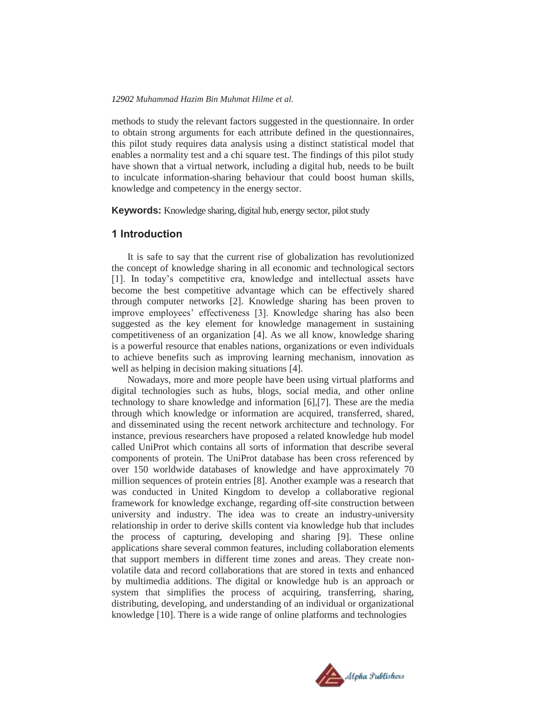methods to study the relevant factors suggested in the questionnaire. In order to obtain strong arguments for each attribute defined in the questionnaires, this pilot study requires data analysis using a distinct statistical model that enables a normality test and a chi square test. The findings of this pilot study have shown that a virtual network, including a digital hub, needs to be built to inculcate information-sharing behaviour that could boost human skills, knowledge and competency in the energy sector.

**Keywords:** Knowledge sharing, digital hub, energy sector, pilot study

#### **1 Introduction**

It is safe to say that the current rise of globalization has revolutionized the concept of knowledge sharing in all economic and technological sectors [1]. In today's competitive era, knowledge and intellectual assets have become the best competitive advantage which can be effectively shared through computer networks [2]. Knowledge sharing has been proven to improve employees' effectiveness [3]. Knowledge sharing has also been suggested as the key element for knowledge management in sustaining competitiveness of an organization [4]. As we all know, knowledge sharing is a powerful resource that enables nations, organizations or even individuals to achieve benefits such as improving learning mechanism, innovation as well as helping in decision making situations [4].

Nowadays, more and more people have been using virtual platforms and digital technologies such as hubs, blogs, social media, and other online technology to share knowledge and information [6],[7]. These are the media through which knowledge or information are acquired, transferred, shared, and disseminated using the recent network architecture and technology. For instance, previous researchers have proposed a related knowledge hub model called UniProt which contains all sorts of information that describe several components of protein. The UniProt database has been cross referenced by over 150 worldwide databases of knowledge and have approximately 70 million sequences of protein entries [8]. Another example was a research that was conducted in United Kingdom to develop a collaborative regional framework for knowledge exchange, regarding off-site construction between university and industry. The idea was to create an industry-university relationship in order to derive skills content via knowledge hub that includes the process of capturing, developing and sharing [9]. These online applications share several common features, including collaboration elements that support members in different time zones and areas. They create nonvolatile data and record collaborations that are stored in texts and enhanced by multimedia additions. The digital or knowledge hub is an approach or system that simplifies the process of acquiring, transferring, sharing, distributing, developing, and understanding of an individual or organizational knowledge [10]. There is a wide range of online platforms and technologies

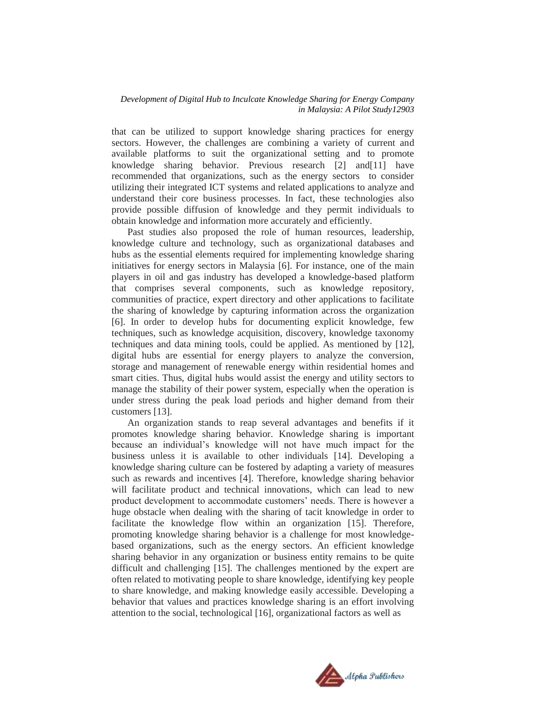that can be utilized to support knowledge sharing practices for energy sectors. However, the challenges are combining a variety of current and available platforms to suit the organizational setting and to promote knowledge sharing behavior. Previous research [2] and[11] have recommended that organizations, such as the energy sectors to consider utilizing their integrated ICT systems and related applications to analyze and understand their core business processes. In fact, these technologies also provide possible diffusion of knowledge and they permit individuals to obtain knowledge and information more accurately and efficiently.

Past studies also proposed the role of human resources, leadership, knowledge culture and technology, such as organizational databases and hubs as the essential elements required for implementing knowledge sharing initiatives for energy sectors in Malaysia [6]. For instance, one of the main players in oil and gas industry has developed a knowledge-based platform that comprises several components, such as knowledge repository, communities of practice, expert directory and other applications to facilitate the sharing of knowledge by capturing information across the organization [6]. In order to develop hubs for documenting explicit knowledge, few techniques, such as knowledge acquisition, discovery, knowledge taxonomy techniques and data mining tools, could be applied. As mentioned by [12], digital hubs are essential for energy players to analyze the conversion, storage and management of renewable energy within residential homes and smart cities. Thus, digital hubs would assist the energy and utility sectors to manage the stability of their power system, especially when the operation is under stress during the peak load periods and higher demand from their customers [13].

An organization stands to reap several advantages and benefits if it promotes knowledge sharing behavior. Knowledge sharing is important because an individual's knowledge will not have much impact for the business unless it is available to other individuals [14]. Developing a knowledge sharing culture can be fostered by adapting a variety of measures such as rewards and incentives [4]. Therefore, knowledge sharing behavior will facilitate product and technical innovations, which can lead to new product development to accommodate customers' needs. There is however a huge obstacle when dealing with the sharing of tacit knowledge in order to facilitate the knowledge flow within an organization [15]. Therefore, promoting knowledge sharing behavior is a challenge for most knowledgebased organizations, such as the energy sectors. An efficient knowledge sharing behavior in any organization or business entity remains to be quite difficult and challenging [15]. The challenges mentioned by the expert are often related to motivating people to share knowledge, identifying key people to share knowledge, and making knowledge easily accessible. Developing a behavior that values and practices knowledge sharing is an effort involving attention to the social, technological [16], organizational factors as well as

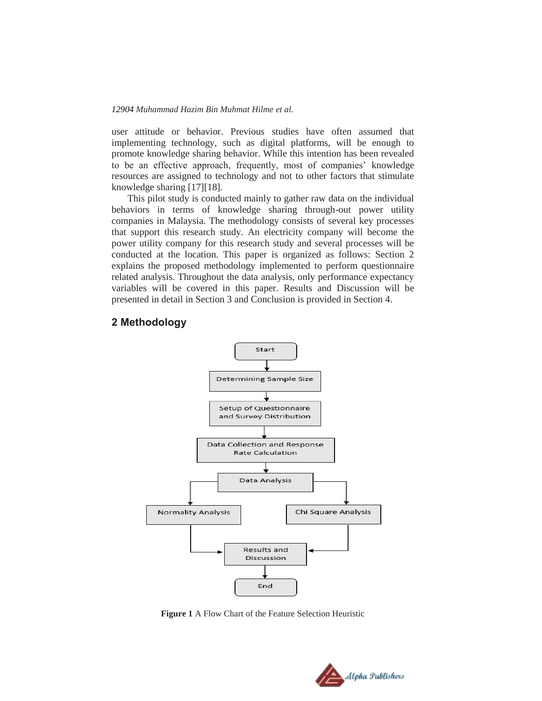user attitude or behavior. Previous studies have often assumed that implementing technology, such as digital platforms, will be enough to promote knowledge sharing behavior. While this intention has been revealed to be an effective approach, frequently, most of companies' knowledge resources are assigned to technology and not to other factors that stimulate knowledge sharing [17][18].

This pilot study is conducted mainly to gather raw data on the individual behaviors in terms of knowledge sharing through-out power utility companies in Malaysia. The methodology consists of several key processes that support this research study. An electricity company will become the power utility company for this research study and several processes will be conducted at the location. This paper is organized as follows: Section 2 explains the proposed methodology implemented to perform questionnaire related analysis. Throughout the data analysis, only performance expectancy variables will be covered in this paper. Results and Discussion will be presented in detail in Section 3 and Conclusion is provided in Section 4.

#### **2 Methodology**



**Figure 1** A Flow Chart of the Feature Selection Heuristic

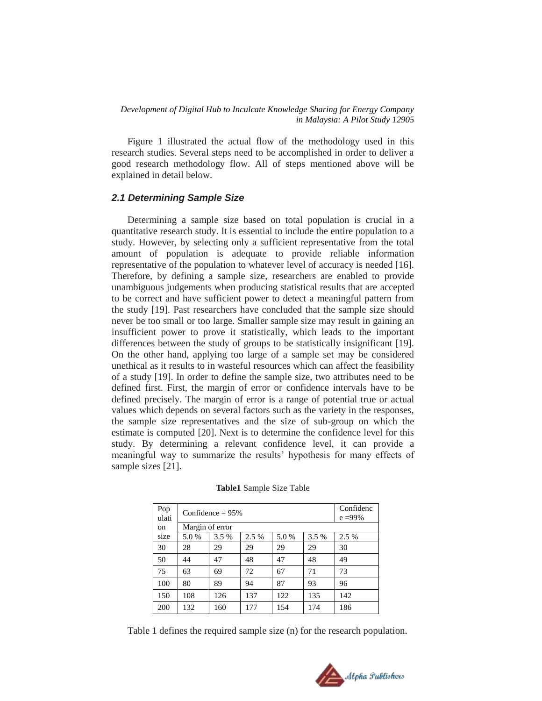Figure 1 illustrated the actual flow of the methodology used in this research studies. Several steps need to be accomplished in order to deliver a good research methodology flow. All of steps mentioned above will be explained in detail below.

#### *2.1 Determining Sample Size*

Determining a sample size based on total population is crucial in a quantitative research study. It is essential to include the entire population to a study. However, by selecting only a sufficient representative from the total amount of population is adequate to provide reliable information representative of the population to whatever level of accuracy is needed [16]. Therefore, by defining a sample size, researchers are enabled to provide unambiguous judgements when producing statistical results that are accepted to be correct and have sufficient power to detect a meaningful pattern from the study [19]. Past researchers have concluded that the sample size should never be too small or too large. Smaller sample size may result in gaining an insufficient power to prove it statistically, which leads to the important differences between the study of groups to be statistically insignificant [19]. On the other hand, applying too large of a sample set may be considered unethical as it results to in wasteful resources which can affect the feasibility of a study [19]. In order to define the sample size, two attributes need to be defined first. First, the margin of error or confidence intervals have to be defined precisely. The margin of error is a range of potential true or actual values which depends on several factors such as the variety in the responses, the sample size representatives and the size of sub-group on which the estimate is computed [20]. Next is to determine the confidence level for this study. By determining a relevant confidence level, it can provide a meaningful way to summarize the results' hypothesis for many effects of sample sizes [21].

| Pop<br>ulati | Confidence $= 95\%$ |       |       |      |       | Confidenc<br>$e = 99\%$ |
|--------------|---------------------|-------|-------|------|-------|-------------------------|
| on           | Margin of error     |       |       |      |       |                         |
| size         | 5.0%                | 3.5 % | 2.5 % | 5.0% | 3.5 % | 2.5 %                   |
| 30           | 28                  | 29    | 29    | 29   | 29    | 30                      |
| 50           | 44                  | 47    | 48    | 47   | 48    | 49                      |
| 75           | 63                  | 69    | 72    | 67   | 71    | 73                      |
| 100          | 80                  | 89    | 94    | 87   | 93    | 96                      |
| 150          | 108                 | 126   | 137   | 122  | 135   | 142                     |
| 200          | 132                 | 160   | 177   | 154  | 174   | 186                     |

|  | Table1 Sample Size Table |  |  |
|--|--------------------------|--|--|
|--|--------------------------|--|--|

Table 1 defines the required sample size (n) for the research population.

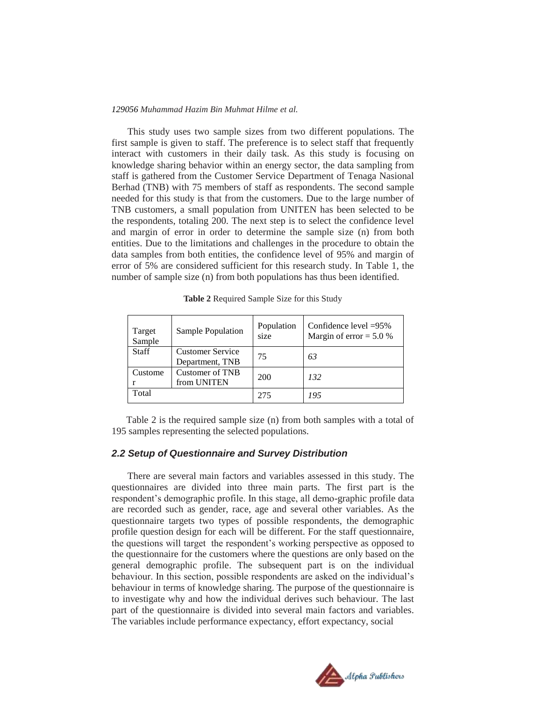This study uses two sample sizes from two different populations. The first sample is given to staff. The preference is to select staff that frequently interact with customers in their daily task. As this study is focusing on knowledge sharing behavior within an energy sector, the data sampling from staff is gathered from the Customer Service Department of Tenaga Nasional Berhad (TNB) with 75 members of staff as respondents. The second sample needed for this study is that from the customers. Due to the large number of TNB customers, a small population from UNITEN has been selected to be the respondents, totaling 200. The next step is to select the confidence level and margin of error in order to determine the sample size (n) from both entities. Due to the limitations and challenges in the procedure to obtain the data samples from both entities, the confidence level of 95% and margin of error of 5% are considered sufficient for this research study. In Table 1, the number of sample size (n) from both populations has thus been identified.

| Target<br>Sample | Sample Population                          | Population<br>size | Confidence level $=95\%$<br>Margin of error = $5.0\%$ |
|------------------|--------------------------------------------|--------------------|-------------------------------------------------------|
| <b>Staff</b>     | <b>Customer Service</b><br>Department, TNB | 75                 | 63                                                    |
| Custome          | Customer of TNB<br>from UNITEN             | 200                | 132                                                   |
| Total            |                                            | 275                | 195                                                   |

**Table 2** Required Sample Size for this Study

 Table 2 is the required sample size (n) from both samples with a total of 195 samples representing the selected populations.

#### *2.2 Setup of Questionnaire and Survey Distribution*

There are several main factors and variables assessed in this study. The questionnaires are divided into three main parts. The first part is the respondent's demographic profile. In this stage, all demo-graphic profile data are recorded such as gender, race, age and several other variables. As the questionnaire targets two types of possible respondents, the demographic profile question design for each will be different. For the staff questionnaire, the questions will target the respondent's working perspective as opposed to the questionnaire for the customers where the questions are only based on the general demographic profile. The subsequent part is on the individual behaviour. In this section, possible respondents are asked on the individual's behaviour in terms of knowledge sharing. The purpose of the questionnaire is to investigate why and how the individual derives such behaviour. The last part of the questionnaire is divided into several main factors and variables. The variables include performance expectancy, effort expectancy, social

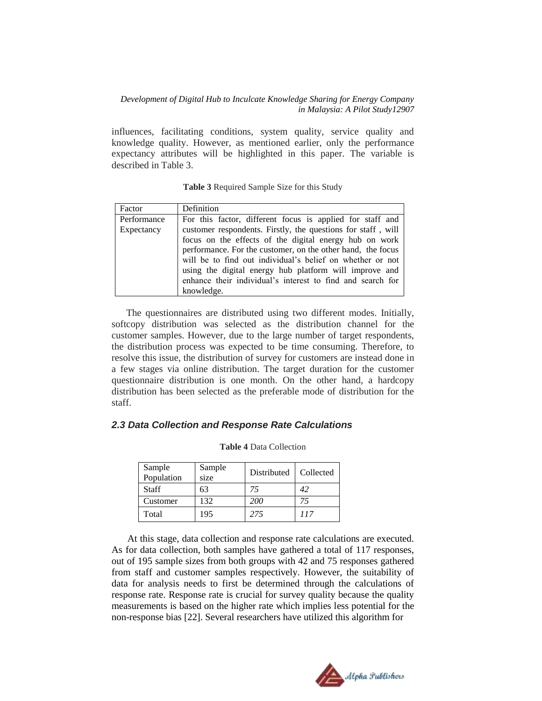influences, facilitating conditions, system quality, service quality and knowledge quality. However, as mentioned earlier, only the performance expectancy attributes will be highlighted in this paper. The variable is described in Table 3.

**Table 3** Required Sample Size for this Study

| Factor      | Definition                                                   |  |  |
|-------------|--------------------------------------------------------------|--|--|
| Performance | For this factor, different focus is applied for staff and    |  |  |
| Expectancy  | customer respondents. Firstly, the questions for staff, will |  |  |
|             | focus on the effects of the digital energy hub on work       |  |  |
|             | performance. For the customer, on the other hand, the focus  |  |  |
|             | will be to find out individual's belief on whether or not    |  |  |
|             | using the digital energy hub platform will improve and       |  |  |
|             | enhance their individual's interest to find and search for   |  |  |
|             | knowledge.                                                   |  |  |

 The questionnaires are distributed using two different modes. Initially, softcopy distribution was selected as the distribution channel for the customer samples. However, due to the large number of target respondents, the distribution process was expected to be time consuming. Therefore, to resolve this issue, the distribution of survey for customers are instead done in a few stages via online distribution. The target duration for the customer questionnaire distribution is one month. On the other hand, a hardcopy distribution has been selected as the preferable mode of distribution for the staff.

#### *2.3 Data Collection and Response Rate Calculations*

| Sample<br>Population | Sample<br>size | Distributed | Collected |
|----------------------|----------------|-------------|-----------|
| Staff                | 63             | 75          | 42        |
| Customer             | 132            | <i>200</i>  |           |
| Total                | 195            | 275         | 117       |

#### **Table 4** Data Collection

At this stage, data collection and response rate calculations are executed. As for data collection, both samples have gathered a total of 117 responses, out of 195 sample sizes from both groups with 42 and 75 responses gathered from staff and customer samples respectively. However, the suitability of data for analysis needs to first be determined through the calculations of response rate. Response rate is crucial for survey quality because the quality measurements is based on the higher rate which implies less potential for the non-response bias [22]. Several researchers have utilized this algorithm for

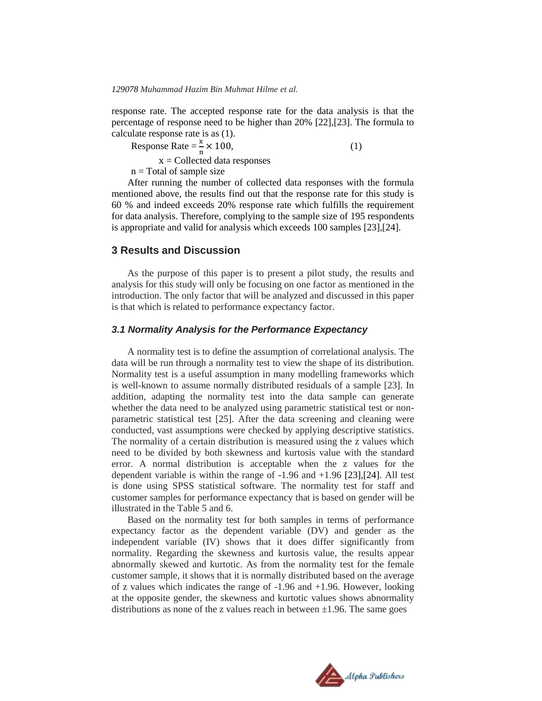response rate. The accepted response rate for the data analysis is that the percentage of response need to be higher than 20% [22],[23]. The formula to calculate response rate is as (1).

Response Rate  $=\frac{4}{n} \times 100$ , (1)

 $x =$  Collected data responses

 $n = Total of sample size$ 

After running the number of collected data responses with the formula mentioned above, the results find out that the response rate for this study is 60 % and indeed exceeds 20% response rate which fulfills the requirement for data analysis. Therefore, complying to the sample size of 195 respondents is appropriate and valid for analysis which exceeds 100 samples [23],[24].

#### **3 Results and Discussion**

As the purpose of this paper is to present a pilot study, the results and analysis for this study will only be focusing on one factor as mentioned in the introduction. The only factor that will be analyzed and discussed in this paper is that which is related to performance expectancy factor.

#### *3.1 Normality Analysis for the Performance Expectancy*

A normality test is to define the assumption of correlational analysis. The data will be run through a normality test to view the shape of its distribution. Normality test is a useful assumption in many modelling frameworks which is well-known to assume normally distributed residuals of a sample [23]. In addition, adapting the normality test into the data sample can generate whether the data need to be analyzed using parametric statistical test or nonparametric statistical test [25]. After the data screening and cleaning were conducted, vast assumptions were checked by applying descriptive statistics. The normality of a certain distribution is measured using the z values which need to be divided by both skewness and kurtosis value with the standard error. A normal distribution is acceptable when the z values for the dependent variable is within the range of -1.96 and +1.96 [23],[24]. All test is done using SPSS statistical software. The normality test for staff and customer samples for performance expectancy that is based on gender will be illustrated in the Table 5 and 6.

Based on the normality test for both samples in terms of performance expectancy factor as the dependent variable (DV) and gender as the independent variable (IV) shows that it does differ significantly from normality. Regarding the skewness and kurtosis value, the results appear abnormally skewed and kurtotic. As from the normality test for the female customer sample, it shows that it is normally distributed based on the average of z values which indicates the range of -1.96 and +1.96. However, looking at the opposite gender, the skewness and kurtotic values shows abnormality distributions as none of the z values reach in between  $\pm 1.96$ . The same goes

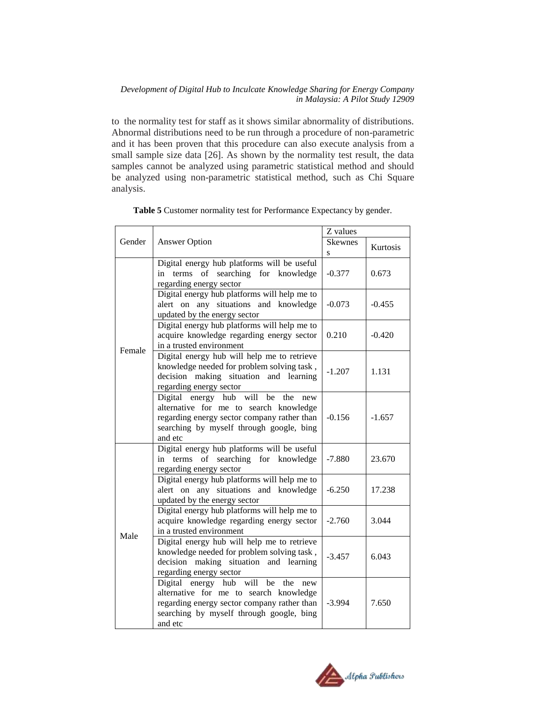to the normality test for staff as it shows similar abnormality of distributions. Abnormal distributions need to be run through a procedure of non-parametric and it has been proven that this procedure can also execute analysis from a small sample size data [26]. As shown by the normality test result, the data samples cannot be analyzed using parametric statistical method and should be analyzed using non-parametric statistical method, such as Chi Square analysis.

|        |                                                                                                                                                                                             | Z values     |          |  |
|--------|---------------------------------------------------------------------------------------------------------------------------------------------------------------------------------------------|--------------|----------|--|
| Gender | <b>Answer Option</b>                                                                                                                                                                        | Skewnes<br>S | Kurtosis |  |
|        | Digital energy hub platforms will be useful<br>in terms of searching for knowledge<br>regarding energy sector                                                                               | $-0.377$     | 0.673    |  |
|        | Digital energy hub platforms will help me to<br>alert on any situations and knowledge<br>updated by the energy sector                                                                       | $-0.073$     | $-0.455$ |  |
| Female | Digital energy hub platforms will help me to<br>acquire knowledge regarding energy sector<br>in a trusted environment                                                                       | 0.210        | $-0.420$ |  |
|        | Digital energy hub will help me to retrieve<br>knowledge needed for problem solving task,<br>decision making situation and learning<br>regarding energy sector                              | $-1.207$     | 1.131    |  |
|        | Digital energy hub will<br>be<br>the<br>new<br>alternative for me to search knowledge<br>regarding energy sector company rather than<br>searching by myself through google, bing<br>and etc | $-0.156$     | $-1.657$ |  |
|        | Digital energy hub platforms will be useful<br>terms of searching for knowledge<br>in<br>regarding energy sector                                                                            | $-7.880$     | 23.670   |  |
|        | Digital energy hub platforms will help me to<br>alert on any situations and knowledge<br>updated by the energy sector                                                                       | $-6.250$     | 17.238   |  |
| Male   | Digital energy hub platforms will help me to<br>acquire knowledge regarding energy sector<br>in a trusted environment                                                                       | $-2.760$     | 3.044    |  |
|        | Digital energy hub will help me to retrieve<br>knowledge needed for problem solving task,<br>decision making situation and learning<br>regarding energy sector                              | $-3.457$     | 6.043    |  |
|        | Digital energy hub will<br>be<br>the<br>new<br>alternative for me to search knowledge<br>regarding energy sector company rather than<br>searching by myself through google, bing<br>and etc | $-3.994$     | 7.650    |  |

**Table 5** Customer normality test for Performance Expectancy by gender.

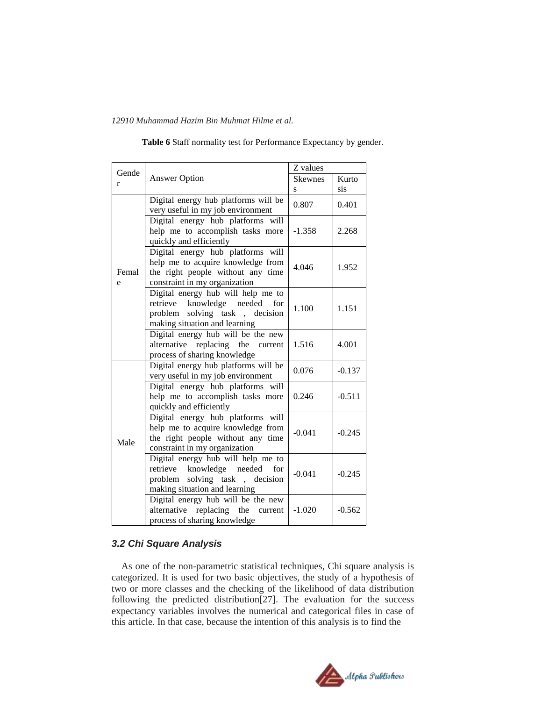| Gende      |                                                                                                                                                  | Z values       |          |  |
|------------|--------------------------------------------------------------------------------------------------------------------------------------------------|----------------|----------|--|
| r          | <b>Answer Option</b>                                                                                                                             | <b>Skewnes</b> | Kurto    |  |
|            |                                                                                                                                                  | S              | sis      |  |
|            | Digital energy hub platforms will be<br>very useful in my job environment                                                                        | 0.807          | 0.401    |  |
|            | Digital energy hub platforms will<br>help me to accomplish tasks more<br>quickly and efficiently                                                 | $-1.358$       | 2.268    |  |
| Femal<br>e | Digital energy hub platforms will<br>help me to acquire knowledge from<br>the right people without any time<br>constraint in my organization     | 4.046          | 1.952    |  |
|            | Digital energy hub will help me to<br>retrieve<br>knowledge needed<br>for<br>problem solving task, decision<br>making situation and learning     | 1.100          | 1.151    |  |
|            | Digital energy hub will be the new<br>alternative replacing the current<br>process of sharing knowledge                                          | 1.516          | 4.001    |  |
|            | Digital energy hub platforms will be<br>very useful in my job environment                                                                        | 0.076          | $-0.137$ |  |
|            | Digital energy hub platforms will<br>help me to accomplish tasks more<br>quickly and efficiently                                                 | 0.246          | $-0.511$ |  |
| Male       | Digital energy hub platforms will<br>help me to acquire knowledge from<br>the right people without any time<br>constraint in my organization     | $-0.041$       | $-0.245$ |  |
|            | Digital energy hub will help me to<br>knowledge needed<br>retrieve<br>for<br>problem solving task<br>, decision<br>making situation and learning | $-0.041$       | $-0.245$ |  |
|            | Digital energy hub will be the new<br>alternative<br>replacing the<br>current<br>process of sharing knowledge                                    | $-1.020$       | $-0.562$ |  |

**Table 6** Staff normality test for Performance Expectancy by gender.

# *3.2 Chi Square Analysis*

As one of the non-parametric statistical techniques, Chi square analysis is categorized. It is used for two basic objectives, the study of a hypothesis of two or more classes and the checking of the likelihood of data distribution following the predicted distribution[27]. The evaluation for the success expectancy variables involves the numerical and categorical files in case of this article. In that case, because the intention of this analysis is to find the

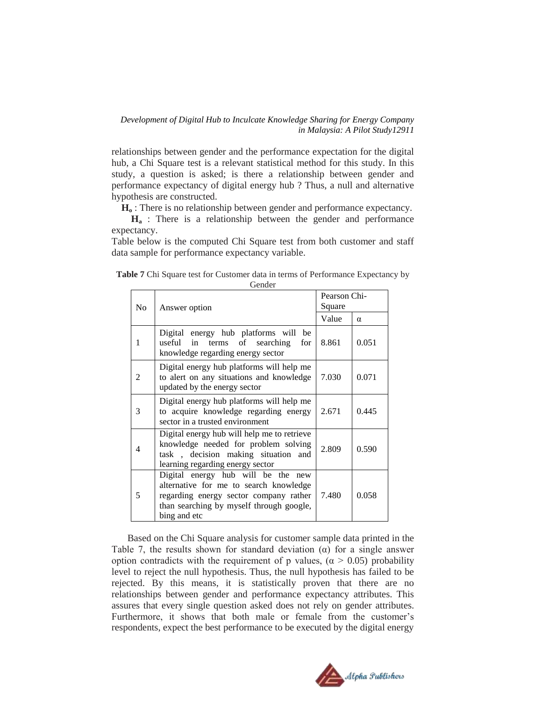relationships between gender and the performance expectation for the digital hub, a Chi Square test is a relevant statistical method for this study. In this study, a question is asked; is there a relationship between gender and performance expectancy of digital energy hub ? Thus, a null and alternative hypothesis are constructed.

**H<sup>o</sup>** : There is no relationship between gender and performance expectancy.

**H<sup>a</sup>** : There is a relationship between the gender and performance expectancy.

Table below is the computed Chi Square test from both customer and staff data sample for performance expectancy variable.

| Table 7 Chi Square test for Customer data in terms of Performance Expectancy by |  |
|---------------------------------------------------------------------------------|--|
| Gender                                                                          |  |

| N <sub>0</sub>              | Answer option                                                                                                                                                                      | Pearson Chi-<br>Square |          |
|-----------------------------|------------------------------------------------------------------------------------------------------------------------------------------------------------------------------------|------------------------|----------|
|                             |                                                                                                                                                                                    | Value                  | $\alpha$ |
| 1                           | Digital energy hub platforms will be<br>useful in terms of searching<br>for<br>knowledge regarding energy sector                                                                   | 8.861                  | 0.051    |
| $\mathcal{D}_{\mathcal{L}}$ | Digital energy hub platforms will help me<br>to alert on any situations and knowledge<br>updated by the energy sector                                                              | 7.030                  | 0.071    |
| 3                           | Digital energy hub platforms will help me<br>to acquire knowledge regarding energy<br>sector in a trusted environment                                                              | 2.671                  | 0.445    |
| 4                           | Digital energy hub will help me to retrieve<br>knowledge needed for problem solving<br>task, decision making situation and<br>learning regarding energy sector                     | 2.809                  | 0.590    |
| 5                           | Digital energy hub will be the new<br>alternative for me to search knowledge<br>regarding energy sector company rather<br>than searching by myself through google,<br>bing and etc | 7.480                  | 0.058    |

Based on the Chi Square analysis for customer sample data printed in the Table 7, the results shown for standard deviation  $(\alpha)$  for a single answer option contradicts with the requirement of p values,  $(\alpha > 0.05)$  probability level to reject the null hypothesis. Thus, the null hypothesis has failed to be rejected. By this means, it is statistically proven that there are no relationships between gender and performance expectancy attributes. This assures that every single question asked does not rely on gender attributes. Furthermore, it shows that both male or female from the customer's respondents, expect the best performance to be executed by the digital energy

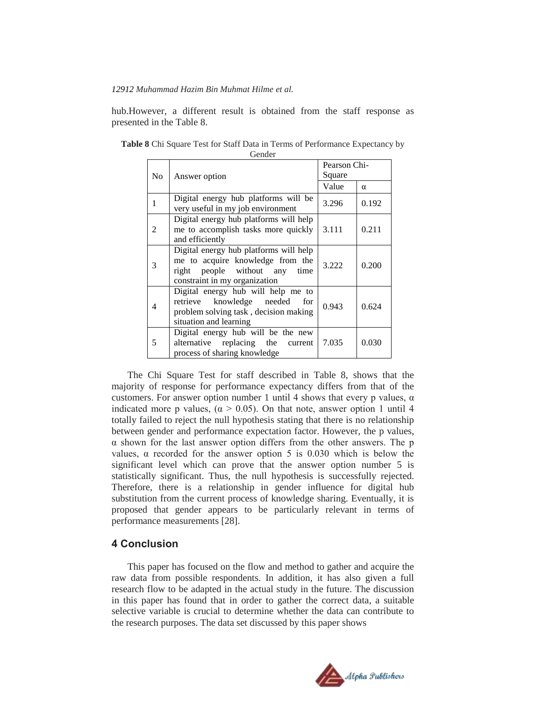hub.However, a different result is obtained from the staff response as presented in the Table 8.

| N <sub>o</sub> | Answer option                                                                                                                                   | Pearson Chi-<br>Square |          |
|----------------|-------------------------------------------------------------------------------------------------------------------------------------------------|------------------------|----------|
|                |                                                                                                                                                 | Value                  | $\alpha$ |
| $\mathbf{1}$   | Digital energy hub platforms will be<br>very useful in my job environment                                                                       | 3.296                  | 0.192    |
| $\mathfrak{D}$ | Digital energy hub platforms will help<br>me to accomplish tasks more quickly<br>and efficiently                                                | 3.111                  | 0.211    |
| 3              | Digital energy hub platforms will help<br>me to acquire knowledge from the<br>right people without any<br>time<br>constraint in my organization | 3.222                  | 0.200    |
| 4              | Digital energy hub will help me to<br>knowledge needed<br>retrieve<br>for<br>problem solving task, decision making<br>situation and learning    | 0.943                  | 0.624    |
| 5              | Digital energy hub will be the new<br>alternative replacing the<br>current<br>process of sharing knowledge                                      | 7.035                  | 0.030    |

**Table 8** Chi Square Test for Staff Data in Terms of Performance Expectancy by Gender

The Chi Square Test for staff described in Table 8, shows that the majority of response for performance expectancy differs from that of the customers. For answer option number 1 until 4 shows that every p values,  $\alpha$ indicated more p values, ( $\alpha > 0.05$ ). On that note, answer option 1 until 4 totally failed to reject the null hypothesis stating that there is no relationship between gender and performance expectation factor. However, the p values, α shown for the last answer option differs from the other answers. The p values,  $\alpha$  recorded for the answer option 5 is 0.030 which is below the significant level which can prove that the answer option number 5 is statistically significant. Thus, the null hypothesis is successfully rejected. Therefore, there is a relationship in gender influence for digital hub substitution from the current process of knowledge sharing. Eventually, it is proposed that gender appears to be particularly relevant in terms of performance measurements [28].

## **4 Conclusion**

This paper has focused on the flow and method to gather and acquire the raw data from possible respondents. In addition, it has also given a full research flow to be adapted in the actual study in the future. The discussion in this paper has found that in order to gather the correct data, a suitable selective variable is crucial to determine whether the data can contribute to the research purposes. The data set discussed by this paper shows

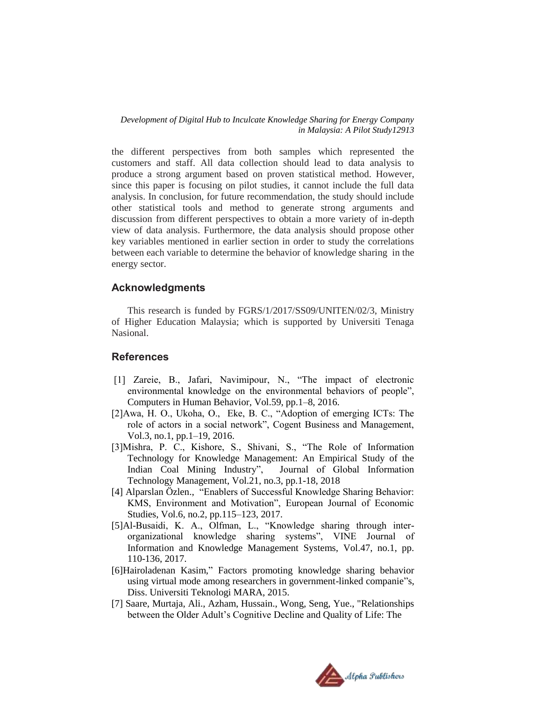the different perspectives from both samples which represented the customers and staff. All data collection should lead to data analysis to produce a strong argument based on proven statistical method. However, since this paper is focusing on pilot studies, it cannot include the full data analysis. In conclusion, for future recommendation, the study should include other statistical tools and method to generate strong arguments and discussion from different perspectives to obtain a more variety of in-depth view of data analysis. Furthermore, the data analysis should propose other key variables mentioned in earlier section in order to study the correlations between each variable to determine the behavior of knowledge sharing in the energy sector.

## **Acknowledgments**

This research is funded by FGRS/1/2017/SS09/UNITEN/02/3, Ministry of Higher Education Malaysia; which is supported by Universiti Tenaga Nasional.

## **References**

- [1] Zareie, B., Jafari, Navimipour, N., "The impact of electronic environmental knowledge on the environmental behaviors of people", Computers in Human Behavior, Vol.59, pp.1–8, 2016.
- [2]Awa, H. O., Ukoha, O., Eke, B. C., "Adoption of emerging ICTs: The role of actors in a social network", Cogent Business and Management, Vol.3, no.1, pp.1–19, 2016.
- [3]Mishra, P. C., Kishore, S., Shivani, S., "The Role of Information Technology for Knowledge Management: An Empirical Study of the Indian Coal Mining Industry", Journal of Global Information Technology Management, Vol.21, no.3, pp.1-18, 2018
- [4] Alparslan Özlen., "Enablers of Successful Knowledge Sharing Behavior: KMS, Environment and Motivation", European Journal of Economic Studies, Vol.6, no.2, pp.115–123, 2017.
- [5]Al-Busaidi, K. A., Olfman, L., "Knowledge sharing through interorganizational knowledge sharing systems", VINE Journal of Information and Knowledge Management Systems, Vol.47, no.1, pp. 110-136, 2017.
- [6]Hairoladenan Kasim," Factors promoting knowledge sharing behavior using virtual mode among researchers in government-linked companie"s, Diss. Universiti Teknologi MARA, 2015.
- [7] Saare, Murtaja, Ali., Azham, Hussain., Wong, Seng, Yue., "Relationships between the Older Adult's Cognitive Decline and Quality of Life: The

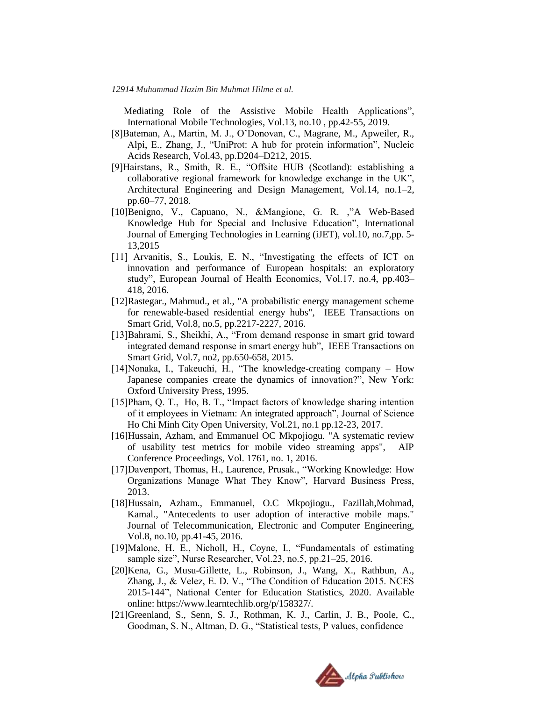Mediating Role of the Assistive Mobile Health Applications", International Mobile Technologies, Vol.13, no.10 , pp.42-55, 2019.

- [8]Bateman, A., Martin, M. J., O'Donovan, C., Magrane, M., Apweiler, R., Alpi, E., Zhang, J., "UniProt: A hub for protein information", Nucleic Acids Research, Vol.43, pp.D204–D212, 2015.
- [9]Hairstans, R., Smith, R. E., "Offsite HUB (Scotland): establishing a collaborative regional framework for knowledge exchange in the UK", Architectural Engineering and Design Management, Vol.14, no.1–2, pp.60–77, 2018.
- [10]Benigno, V., Capuano, N., &Mangione, G. R. ,"A Web-Based Knowledge Hub for Special and Inclusive Education", International Journal of Emerging Technologies in Learning (iJET), vol.10, no.7,pp. 5- 13,2015
- [11] Arvanitis, S., Loukis, E. N., "Investigating the effects of ICT on innovation and performance of European hospitals: an exploratory study", European Journal of Health Economics, Vol.17, no.4, pp.403– 418, 2016.
- [12]Rastegar., Mahmud., et al., "A probabilistic energy management scheme for renewable-based residential energy hubs", IEEE Transactions on Smart Grid, Vol.8, no.5, pp.2217-2227, 2016.
- [13]Bahrami, S., Sheikhi, A., "From demand response in smart grid toward integrated demand response in smart energy hub", IEEE Transactions on Smart Grid, Vol.7, no2, pp.650-658, 2015.
- [14]Nonaka, I., Takeuchi, H., "The knowledge-creating company How Japanese companies create the dynamics of innovation?", New York: Oxford University Press, 1995.
- [15]Pham, Q. T., Ho, B. T., "Impact factors of knowledge sharing intention of it employees in Vietnam: An integrated approach", Journal of Science Ho Chi Minh City Open University, Vol.21, no.1 pp.12-23, 2017.
- [16]Hussain, Azham, and Emmanuel OC Mkpojiogu. "A systematic review of usability test metrics for mobile video streaming apps", AIP Conference Proceedings, Vol. 1761, no. 1, 2016.
- [17]Davenport, Thomas, H., Laurence, Prusak., "Working Knowledge: How Organizations Manage What They Know", Harvard Business Press, 2013.
- [18]Hussain, Azham., Emmanuel, O.C Mkpojiogu., Fazillah,Mohmad, Kamal., "Antecedents to user adoption of interactive mobile maps." Journal of Telecommunication, Electronic and Computer Engineering, Vol.8, no.10, pp.41-45, 2016.
- [19]Malone, H. E., Nicholl, H., Coyne, I., "Fundamentals of estimating sample size", Nurse Researcher, Vol.23, no.5, pp.21–25, 2016.
- [20]Kena, G., Musu-Gillette, L., Robinson, J., Wang, X., Rathbun, A., Zhang, J., & Velez, E. D. V., "The Condition of Education 2015. NCES 2015-144", National Center for Education Statistics, 2020. Available online: https://www.learntechlib.org/p/158327/.
- [21]Greenland, S., Senn, S. J., Rothman, K. J., Carlin, J. B., Poole, C., Goodman, S. N., Altman, D. G., "Statistical tests, P values, confidence

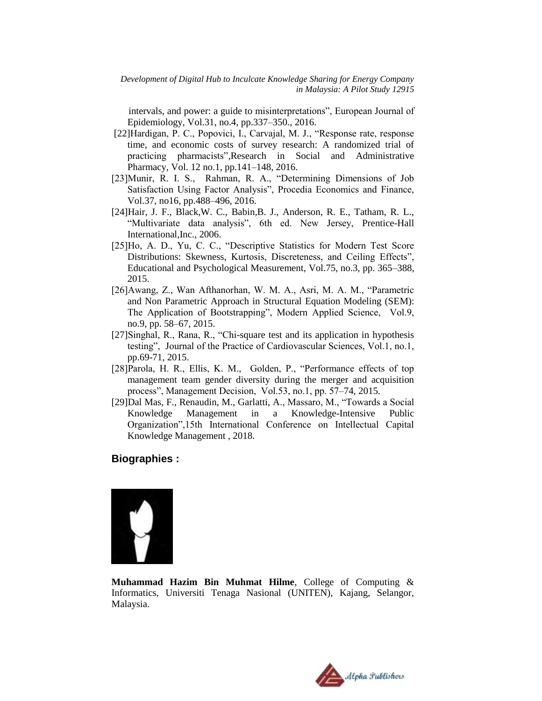intervals, and power: a guide to misinterpretations", European Journal of Epidemiology, Vol.31, no.4, pp.337–350., 2016.

- [22]Hardigan, P. C., Popovici, I., Carvajal, M. J., "Response rate, response time, and economic costs of survey research: A randomized trial of practicing pharmacists",Research in Social and Administrative Pharmacy, Vol. 12 no.1, pp.141–148, 2016.
- [23]Munir, R. I. S., Rahman, R. A., "Determining Dimensions of Job Satisfaction Using Factor Analysis", Procedia Economics and Finance, Vol.37, no16, pp.488–496, 2016.
- [24]Hair, J. F., Black,W. C., Babin,B. J., Anderson, R. E., Tatham, R. L., "Multivariate data analysis", 6th ed. New Jersey, Prentice-Hall International,Inc., 2006.
- [25]Ho, A. D., Yu, C. C., "Descriptive Statistics for Modern Test Score Distributions: Skewness, Kurtosis, Discreteness, and Ceiling Effects", Educational and Psychological Measurement, Vol.75, no.3, pp. 365–388, 2015.
- [26]Awang, Z., Wan Afthanorhan, W. M. A., Asri, M. A. M., "Parametric and Non Parametric Approach in Structural Equation Modeling (SEM): The Application of Bootstrapping", Modern Applied Science, Vol.9, no.9, pp. 58–67, 2015.
- [27]Singhal, R., Rana, R., "Chi-square test and its application in hypothesis testing", Journal of the Practice of Cardiovascular Sciences, Vol.1, no.1, pp.69-71, 2015.
- [28]Parola, H. R., Ellis, K. M., Golden, P., "Performance effects of top management team gender diversity during the merger and acquisition process", Management Decision, Vol.53, no.1, pp. 57–74, 2015.
- [29]Dal Mas, F., Renaudin, M., Garlatti, A., Massaro, M., "Towards a Social Knowledge Management in a Knowledge-Intensive Public Organization",15th International Conference on Intellectual Capital Knowledge Management , 2018.

# **Biographies :**



**Muhammad Hazim Bin Muhmat Hilme**, College of Computing & Informatics, Universiti Tenaga Nasional (UNITEN), Kajang, Selangor, Malaysia.